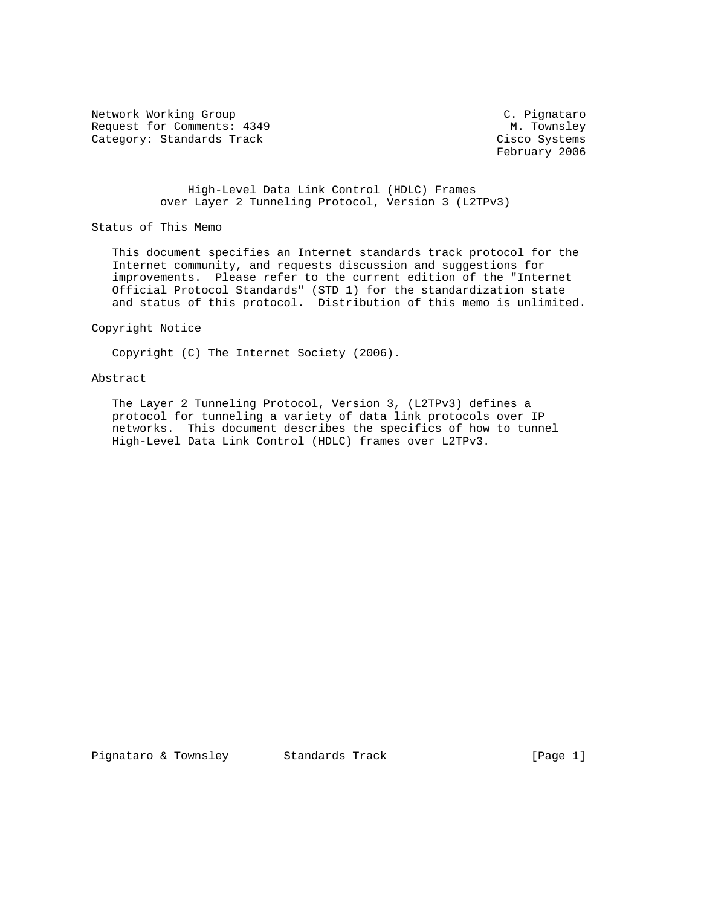Network Working Group C. Pignataro Request for Comments: 4349 M. Townsley<br>
Category: Standards Track Mateur (Cisco Systems Category: Standards Track

February 2006

 High-Level Data Link Control (HDLC) Frames over Layer 2 Tunneling Protocol, Version 3 (L2TPv3)

Status of This Memo

 This document specifies an Internet standards track protocol for the Internet community, and requests discussion and suggestions for improvements. Please refer to the current edition of the "Internet Official Protocol Standards" (STD 1) for the standardization state and status of this protocol. Distribution of this memo is unlimited.

Copyright Notice

Copyright (C) The Internet Society (2006).

### Abstract

 The Layer 2 Tunneling Protocol, Version 3, (L2TPv3) defines a protocol for tunneling a variety of data link protocols over IP networks. This document describes the specifics of how to tunnel High-Level Data Link Control (HDLC) frames over L2TPv3.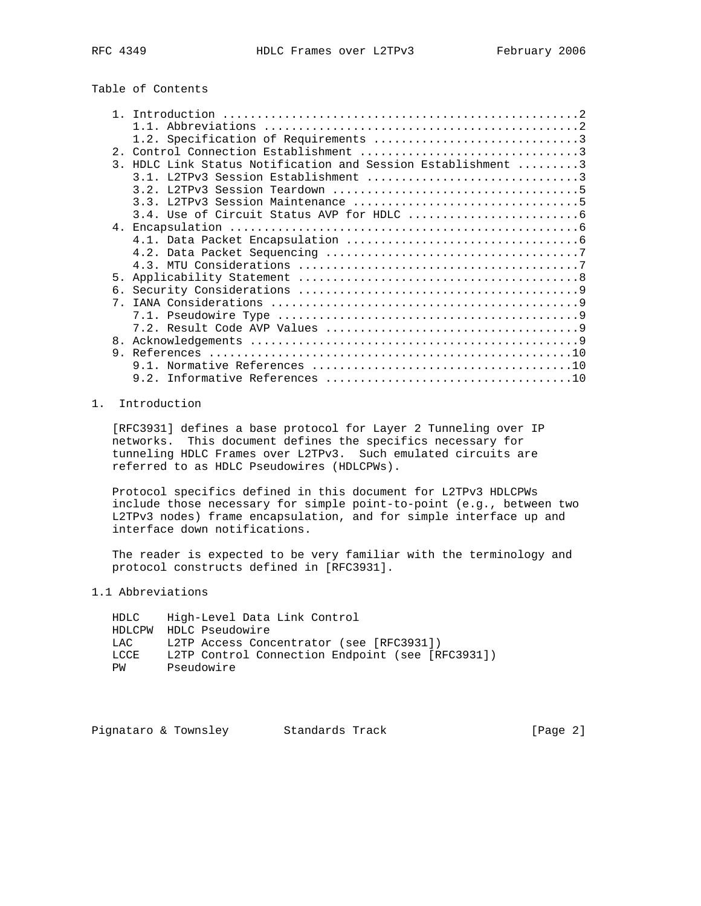# Table of Contents

| 3. HDLC Link Status Notification and Session Establishment 3<br>5 <sub>1</sub><br>$7^{\circ}$<br>8.<br>9 |  |  |
|----------------------------------------------------------------------------------------------------------|--|--|
|                                                                                                          |  |  |
|                                                                                                          |  |  |
|                                                                                                          |  |  |
|                                                                                                          |  |  |
|                                                                                                          |  |  |
|                                                                                                          |  |  |
|                                                                                                          |  |  |
|                                                                                                          |  |  |
|                                                                                                          |  |  |
|                                                                                                          |  |  |
|                                                                                                          |  |  |
|                                                                                                          |  |  |
|                                                                                                          |  |  |
|                                                                                                          |  |  |
|                                                                                                          |  |  |
|                                                                                                          |  |  |
|                                                                                                          |  |  |
|                                                                                                          |  |  |
|                                                                                                          |  |  |
|                                                                                                          |  |  |
|                                                                                                          |  |  |

## 1. Introduction

 [RFC3931] defines a base protocol for Layer 2 Tunneling over IP networks. This document defines the specifics necessary for tunneling HDLC Frames over L2TPv3. Such emulated circuits are referred to as HDLC Pseudowires (HDLCPWs).

 Protocol specifics defined in this document for L2TPv3 HDLCPWs include those necessary for simple point-to-point (e.g., between two L2TPv3 nodes) frame encapsulation, and for simple interface up and interface down notifications.

 The reader is expected to be very familiar with the terminology and protocol constructs defined in [RFC3931].

## 1.1 Abbreviations

| HDLC   | High-Level Data Link Control                     |
|--------|--------------------------------------------------|
|        | HDLCPW HDLC Pseudowire                           |
| T.A.C. | L2TP Access Concentrator (see [RFC3931])         |
| LCCF   | L2TP Control Connection Endpoint (see [RFC3931]) |
| PW     | Pseudowire                                       |
|        |                                                  |

Pignataro & Townsley Standards Track [Page 2]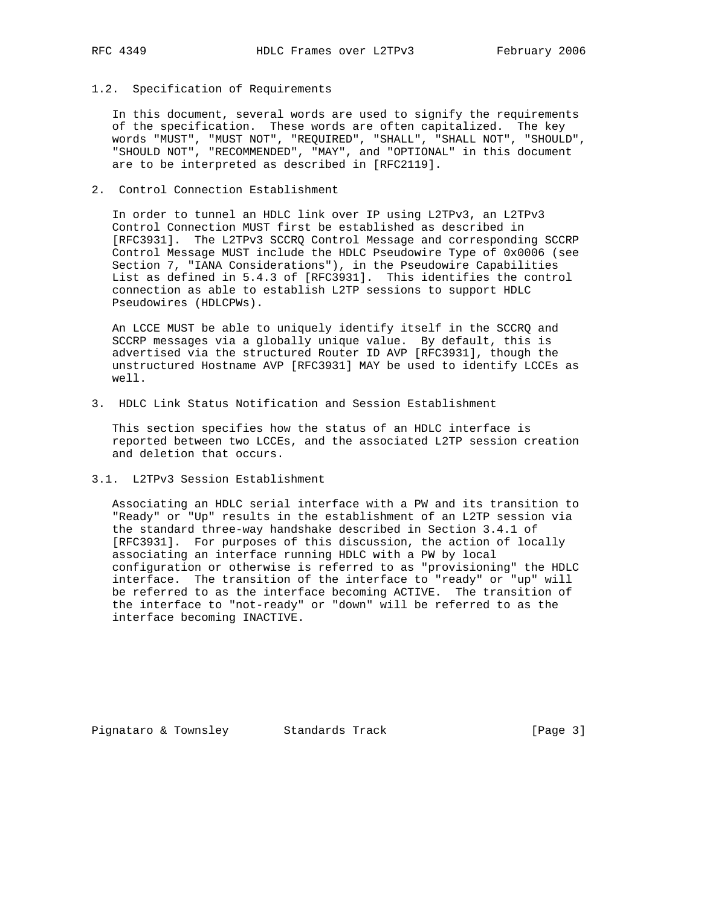### 1.2. Specification of Requirements

 In this document, several words are used to signify the requirements of the specification. These words are often capitalized. The key words "MUST", "MUST NOT", "REQUIRED", "SHALL", "SHALL NOT", "SHOULD", "SHOULD NOT", "RECOMMENDED", "MAY", and "OPTIONAL" in this document are to be interpreted as described in [RFC2119].

2. Control Connection Establishment

 In order to tunnel an HDLC link over IP using L2TPv3, an L2TPv3 Control Connection MUST first be established as described in [RFC3931]. The L2TPv3 SCCRQ Control Message and corresponding SCCRP Control Message MUST include the HDLC Pseudowire Type of 0x0006 (see Section 7, "IANA Considerations"), in the Pseudowire Capabilities List as defined in 5.4.3 of [RFC3931]. This identifies the control connection as able to establish L2TP sessions to support HDLC Pseudowires (HDLCPWs).

 An LCCE MUST be able to uniquely identify itself in the SCCRQ and SCCRP messages via a globally unique value. By default, this is advertised via the structured Router ID AVP [RFC3931], though the unstructured Hostname AVP [RFC3931] MAY be used to identify LCCEs as well.

3. HDLC Link Status Notification and Session Establishment

 This section specifies how the status of an HDLC interface is reported between two LCCEs, and the associated L2TP session creation and deletion that occurs.

3.1. L2TPv3 Session Establishment

 Associating an HDLC serial interface with a PW and its transition to "Ready" or "Up" results in the establishment of an L2TP session via the standard three-way handshake described in Section 3.4.1 of [RFC3931]. For purposes of this discussion, the action of locally associating an interface running HDLC with a PW by local configuration or otherwise is referred to as "provisioning" the HDLC interface. The transition of the interface to "ready" or "up" will be referred to as the interface becoming ACTIVE. The transition of the interface to "not-ready" or "down" will be referred to as the interface becoming INACTIVE.

Pignataro & Townsley Standards Track [Page 3]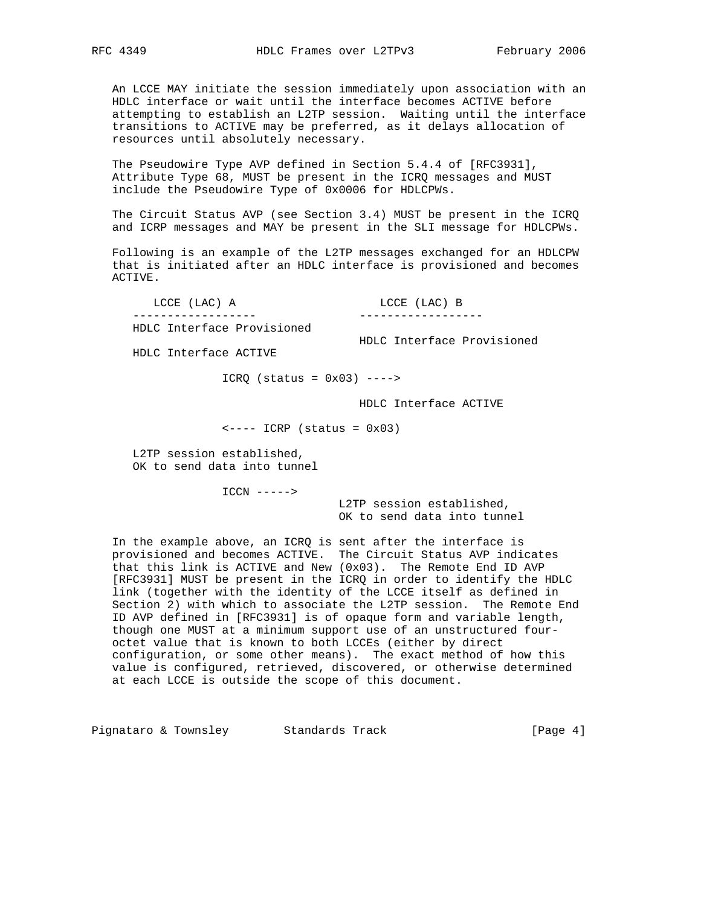An LCCE MAY initiate the session immediately upon association with an HDLC interface or wait until the interface becomes ACTIVE before attempting to establish an L2TP session. Waiting until the interface transitions to ACTIVE may be preferred, as it delays allocation of resources until absolutely necessary.

 The Pseudowire Type AVP defined in Section 5.4.4 of [RFC3931], Attribute Type 68, MUST be present in the ICRQ messages and MUST include the Pseudowire Type of 0x0006 for HDLCPWs.

 The Circuit Status AVP (see Section 3.4) MUST be present in the ICRQ and ICRP messages and MAY be present in the SLI message for HDLCPWs.

 Following is an example of the L2TP messages exchanged for an HDLCPW that is initiated after an HDLC interface is provisioned and becomes ACTIVE.

 LCCE (LAC) A LCCE (LAC) B ------------------ ------------------ HDLC Interface Provisioned

HDLC Interface Provisioned

HDLC Interface ACTIVE

 $ICRQ$  (status =  $0x03$ ) ---->

HDLC Interface ACTIVE

 $\leftarrow---$  ICRP (status =  $0x03$ )

 L2TP session established, OK to send data into tunnel

ICCN ----->

 L2TP session established, OK to send data into tunnel

 In the example above, an ICRQ is sent after the interface is provisioned and becomes ACTIVE. The Circuit Status AVP indicates that this link is ACTIVE and New (0x03). The Remote End ID AVP [RFC3931] MUST be present in the ICRQ in order to identify the HDLC link (together with the identity of the LCCE itself as defined in Section 2) with which to associate the L2TP session. The Remote End ID AVP defined in [RFC3931] is of opaque form and variable length, though one MUST at a minimum support use of an unstructured four octet value that is known to both LCCEs (either by direct configuration, or some other means). The exact method of how this value is configured, retrieved, discovered, or otherwise determined at each LCCE is outside the scope of this document.

Pignataro & Townsley Standards Track Track [Page 4]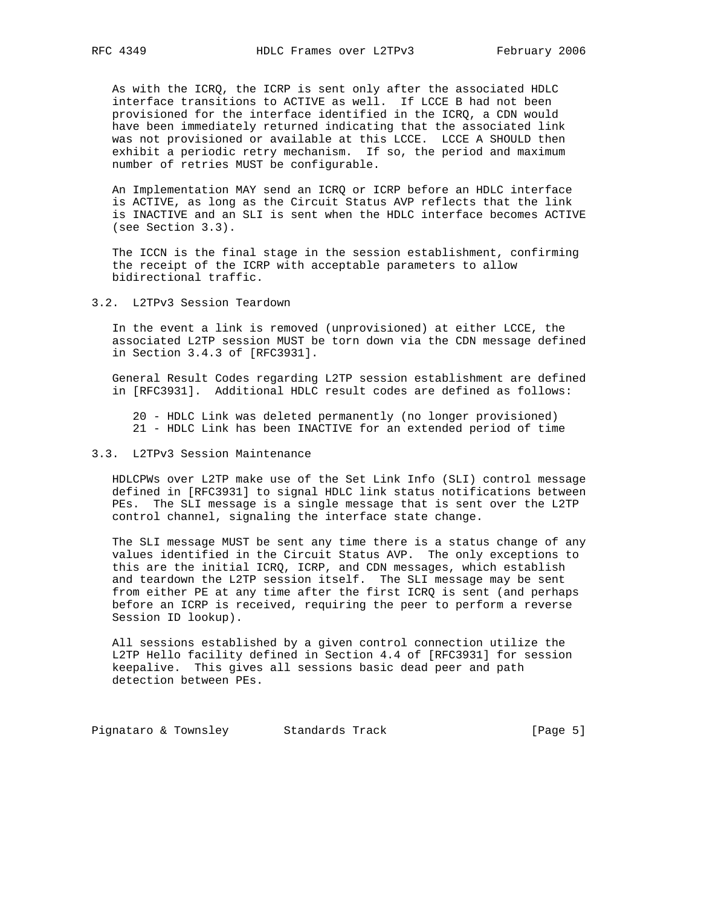As with the ICRQ, the ICRP is sent only after the associated HDLC interface transitions to ACTIVE as well. If LCCE B had not been provisioned for the interface identified in the ICRQ, a CDN would have been immediately returned indicating that the associated link was not provisioned or available at this LCCE. LCCE A SHOULD then exhibit a periodic retry mechanism. If so, the period and maximum number of retries MUST be configurable.

 An Implementation MAY send an ICRQ or ICRP before an HDLC interface is ACTIVE, as long as the Circuit Status AVP reflects that the link is INACTIVE and an SLI is sent when the HDLC interface becomes ACTIVE (see Section 3.3).

 The ICCN is the final stage in the session establishment, confirming the receipt of the ICRP with acceptable parameters to allow bidirectional traffic.

3.2. L2TPv3 Session Teardown

 In the event a link is removed (unprovisioned) at either LCCE, the associated L2TP session MUST be torn down via the CDN message defined in Section 3.4.3 of [RFC3931].

 General Result Codes regarding L2TP session establishment are defined in [RFC3931]. Additional HDLC result codes are defined as follows:

 20 - HDLC Link was deleted permanently (no longer provisioned) 21 - HDLC Link has been INACTIVE for an extended period of time

### 3.3. L2TPv3 Session Maintenance

 HDLCPWs over L2TP make use of the Set Link Info (SLI) control message defined in [RFC3931] to signal HDLC link status notifications between PEs. The SLI message is a single message that is sent over the L2TP control channel, signaling the interface state change.

 The SLI message MUST be sent any time there is a status change of any values identified in the Circuit Status AVP. The only exceptions to this are the initial ICRQ, ICRP, and CDN messages, which establish and teardown the L2TP session itself. The SLI message may be sent from either PE at any time after the first ICRQ is sent (and perhaps before an ICRP is received, requiring the peer to perform a reverse Session ID lookup).

 All sessions established by a given control connection utilize the L2TP Hello facility defined in Section 4.4 of [RFC3931] for session keepalive. This gives all sessions basic dead peer and path detection between PEs.

Pignataro & Townsley Standards Track [Page 5]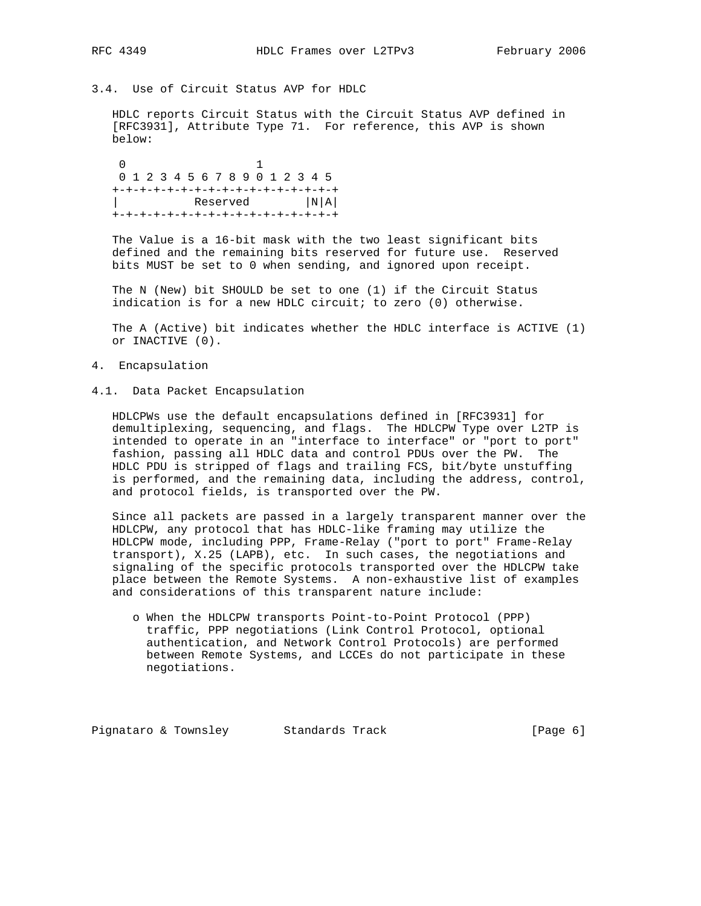## 3.4. Use of Circuit Status AVP for HDLC

 HDLC reports Circuit Status with the Circuit Status AVP defined in [RFC3931], Attribute Type 71. For reference, this AVP is shown below:

 0 1 0 1 2 3 4 5 6 7 8 9 0 1 2 3 4 5 +-+-+-+-+-+-+-+-+-+-+-+-+-+-+-+-+ Reserved  $|N|A|$ +-+-+-+-+-+-+-+-+-+-+-+-+-+-+-+-+

 The Value is a 16-bit mask with the two least significant bits defined and the remaining bits reserved for future use. Reserved bits MUST be set to 0 when sending, and ignored upon receipt.

 The N (New) bit SHOULD be set to one (1) if the Circuit Status indication is for a new HDLC circuit; to zero (0) otherwise.

 The A (Active) bit indicates whether the HDLC interface is ACTIVE (1) or INACTIVE (0).

- 4. Encapsulation
- 4.1. Data Packet Encapsulation

 HDLCPWs use the default encapsulations defined in [RFC3931] for demultiplexing, sequencing, and flags. The HDLCPW Type over L2TP is intended to operate in an "interface to interface" or "port to port" fashion, passing all HDLC data and control PDUs over the PW. The HDLC PDU is stripped of flags and trailing FCS, bit/byte unstuffing is performed, and the remaining data, including the address, control, and protocol fields, is transported over the PW.

 Since all packets are passed in a largely transparent manner over the HDLCPW, any protocol that has HDLC-like framing may utilize the HDLCPW mode, including PPP, Frame-Relay ("port to port" Frame-Relay transport), X.25 (LAPB), etc. In such cases, the negotiations and signaling of the specific protocols transported over the HDLCPW take place between the Remote Systems. A non-exhaustive list of examples and considerations of this transparent nature include:

 o When the HDLCPW transports Point-to-Point Protocol (PPP) traffic, PPP negotiations (Link Control Protocol, optional authentication, and Network Control Protocols) are performed between Remote Systems, and LCCEs do not participate in these negotiations.

Pignataro & Townsley Standards Track [Page 6]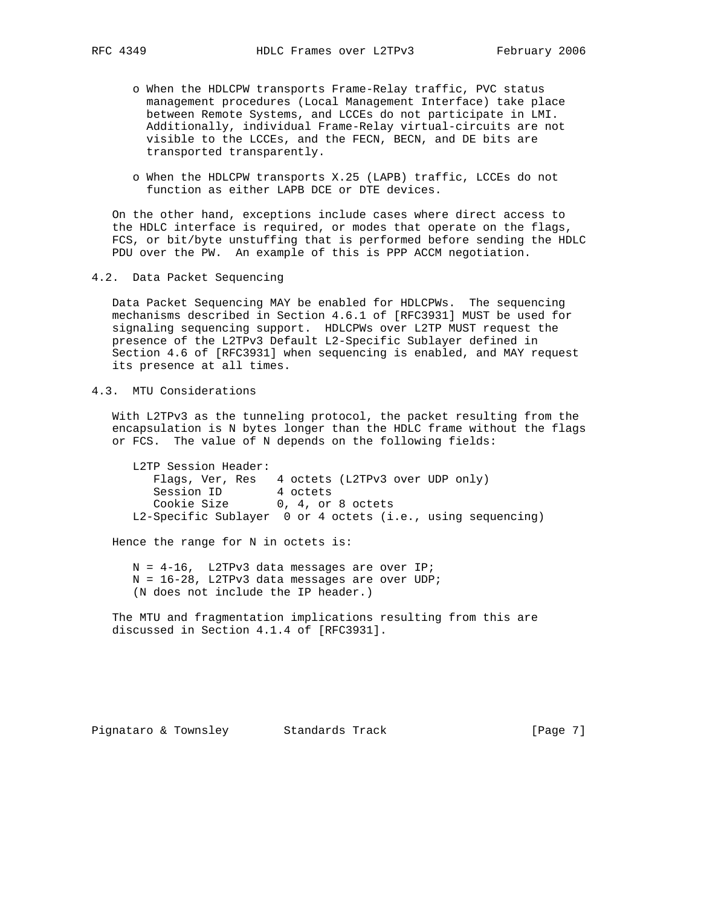- o When the HDLCPW transports Frame-Relay traffic, PVC status management procedures (Local Management Interface) take place between Remote Systems, and LCCEs do not participate in LMI. Additionally, individual Frame-Relay virtual-circuits are not visible to the LCCEs, and the FECN, BECN, and DE bits are transported transparently.
- o When the HDLCPW transports X.25 (LAPB) traffic, LCCEs do not function as either LAPB DCE or DTE devices.

 On the other hand, exceptions include cases where direct access to the HDLC interface is required, or modes that operate on the flags, FCS, or bit/byte unstuffing that is performed before sending the HDLC PDU over the PW. An example of this is PPP ACCM negotiation.

4.2. Data Packet Sequencing

 Data Packet Sequencing MAY be enabled for HDLCPWs. The sequencing mechanisms described in Section 4.6.1 of [RFC3931] MUST be used for signaling sequencing support. HDLCPWs over L2TP MUST request the presence of the L2TPv3 Default L2-Specific Sublayer defined in Section 4.6 of [RFC3931] when sequencing is enabled, and MAY request its presence at all times.

4.3. MTU Considerations

 With L2TPv3 as the tunneling protocol, the packet resulting from the encapsulation is N bytes longer than the HDLC frame without the flags or FCS. The value of N depends on the following fields:

 L2TP Session Header: Flags, Ver, Res 4 octets (L2TPv3 over UDP only) Session ID 4 octets Cookie Size 0, 4, or 8 octets L2-Specific Sublayer 0 or 4 octets (i.e., using sequencing)

Hence the range for N in octets is:

 N = 4-16, L2TPv3 data messages are over IP; N = 16-28, L2TPv3 data messages are over UDP; (N does not include the IP header.)

 The MTU and fragmentation implications resulting from this are discussed in Section 4.1.4 of [RFC3931].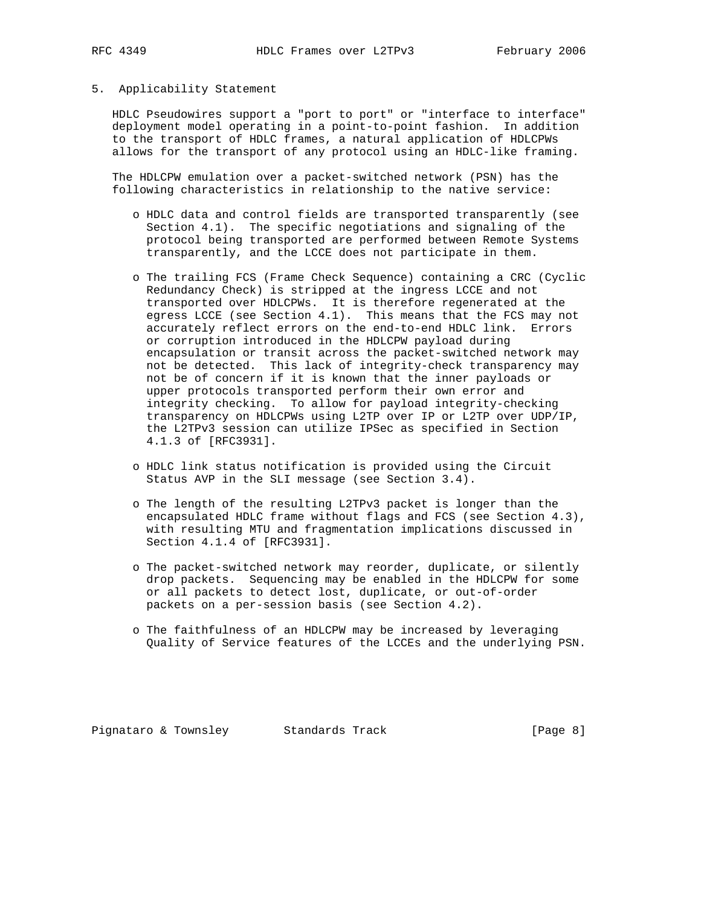# 5. Applicability Statement

 HDLC Pseudowires support a "port to port" or "interface to interface" deployment model operating in a point-to-point fashion. In addition to the transport of HDLC frames, a natural application of HDLCPWs allows for the transport of any protocol using an HDLC-like framing.

 The HDLCPW emulation over a packet-switched network (PSN) has the following characteristics in relationship to the native service:

- o HDLC data and control fields are transported transparently (see Section 4.1). The specific negotiations and signaling of the protocol being transported are performed between Remote Systems transparently, and the LCCE does not participate in them.
- o The trailing FCS (Frame Check Sequence) containing a CRC (Cyclic Redundancy Check) is stripped at the ingress LCCE and not transported over HDLCPWs. It is therefore regenerated at the egress LCCE (see Section 4.1). This means that the FCS may not accurately reflect errors on the end-to-end HDLC link. Errors or corruption introduced in the HDLCPW payload during encapsulation or transit across the packet-switched network may not be detected. This lack of integrity-check transparency may not be of concern if it is known that the inner payloads or upper protocols transported perform their own error and integrity checking. To allow for payload integrity-checking transparency on HDLCPWs using L2TP over IP or L2TP over UDP/IP, the L2TPv3 session can utilize IPSec as specified in Section 4.1.3 of [RFC3931].
- o HDLC link status notification is provided using the Circuit Status AVP in the SLI message (see Section 3.4).
- o The length of the resulting L2TPv3 packet is longer than the encapsulated HDLC frame without flags and FCS (see Section 4.3), with resulting MTU and fragmentation implications discussed in Section 4.1.4 of [RFC3931].
- o The packet-switched network may reorder, duplicate, or silently drop packets. Sequencing may be enabled in the HDLCPW for some or all packets to detect lost, duplicate, or out-of-order packets on a per-session basis (see Section 4.2).
- o The faithfulness of an HDLCPW may be increased by leveraging Quality of Service features of the LCCEs and the underlying PSN.

Pignataro & Townsley Standards Track [Page 8]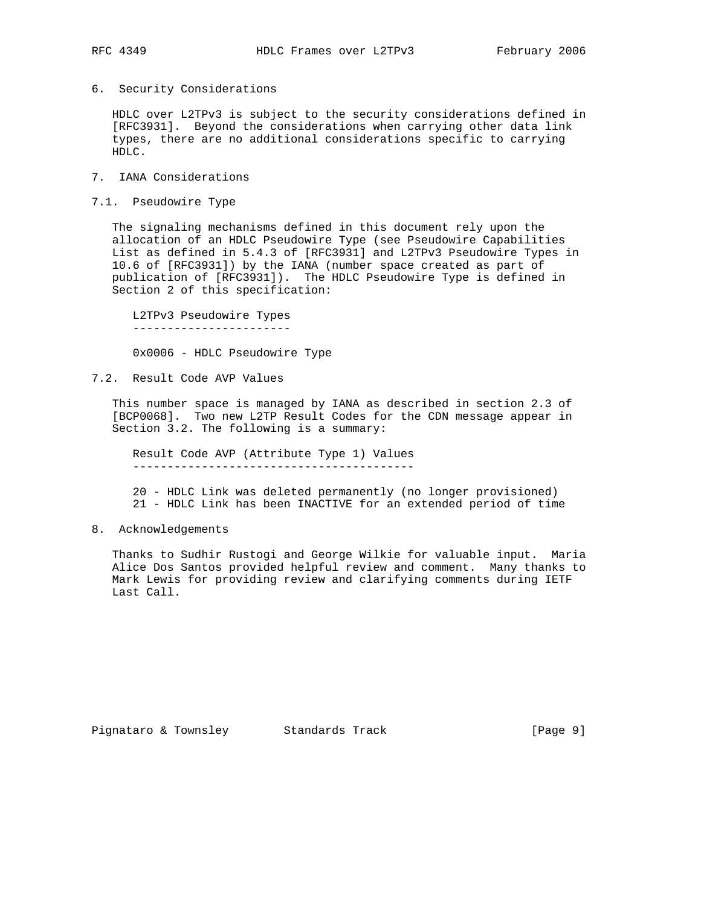6. Security Considerations

 HDLC over L2TPv3 is subject to the security considerations defined in [RFC3931]. Beyond the considerations when carrying other data link types, there are no additional considerations specific to carrying HDLC.

- 7. IANA Considerations
- 7.1. Pseudowire Type

 The signaling mechanisms defined in this document rely upon the allocation of an HDLC Pseudowire Type (see Pseudowire Capabilities List as defined in 5.4.3 of [RFC3931] and L2TPv3 Pseudowire Types in 10.6 of [RFC3931]) by the IANA (number space created as part of publication of [RFC3931]). The HDLC Pseudowire Type is defined in Section 2 of this specification:

 L2TPv3 Pseudowire Types -----------------------

0x0006 - HDLC Pseudowire Type

7.2. Result Code AVP Values

 This number space is managed by IANA as described in section 2.3 of [BCP0068]. Two new L2TP Result Codes for the CDN message appear in Section 3.2. The following is a summary:

 Result Code AVP (Attribute Type 1) Values -----------------------------------------

 20 - HDLC Link was deleted permanently (no longer provisioned) 21 - HDLC Link has been INACTIVE for an extended period of time

8. Acknowledgements

 Thanks to Sudhir Rustogi and George Wilkie for valuable input. Maria Alice Dos Santos provided helpful review and comment. Many thanks to Mark Lewis for providing review and clarifying comments during IETF Last Call.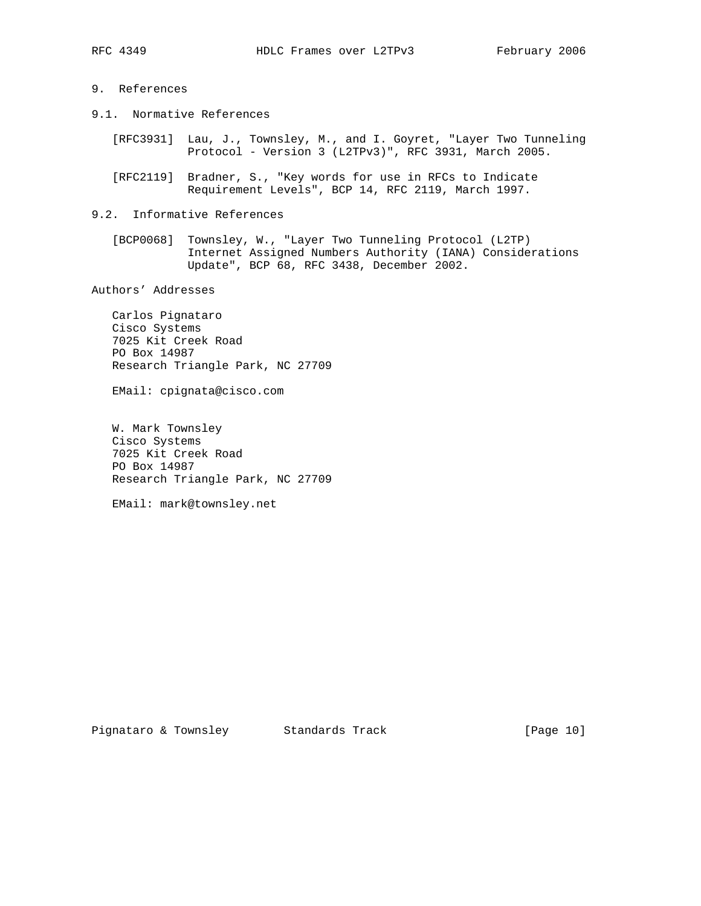## 9. References

- 9.1. Normative References
	- [RFC3931] Lau, J., Townsley, M., and I. Goyret, "Layer Two Tunneling Protocol - Version 3 (L2TPv3)", RFC 3931, March 2005.
	- [RFC2119] Bradner, S., "Key words for use in RFCs to Indicate Requirement Levels", BCP 14, RFC 2119, March 1997.

## 9.2. Informative References

 [BCP0068] Townsley, W., "Layer Two Tunneling Protocol (L2TP) Internet Assigned Numbers Authority (IANA) Considerations Update", BCP 68, RFC 3438, December 2002.

Authors' Addresses

 Carlos Pignataro Cisco Systems 7025 Kit Creek Road PO Box 14987 Research Triangle Park, NC 27709

EMail: cpignata@cisco.com

 W. Mark Townsley Cisco Systems 7025 Kit Creek Road PO Box 14987 Research Triangle Park, NC 27709

EMail: mark@townsley.net